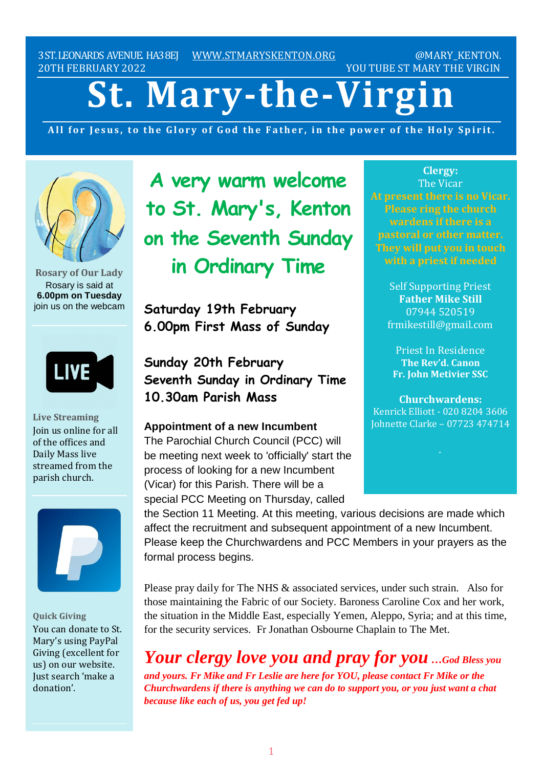3ST.LEONARDS AVENUE. HA38EJ [WWW.STMARYSKENTON.ORG](http://www.stmaryskenton.org/) @MARY\_KENTON. 20TH FEBRUARY 2022 YOU TUBE ST MARY THE VIRGIN

# **St. Mary-the-Virgin**

All for Jesus, to the Glory of God the Father, in the power of the Holy Spirit.



**Rosary of Our Lady** Rosary is said at **6.00pm on Tuesday** join us on the webcam



**Live Streaming** Join us online for all of the offices and Daily Mass live streamed from the parish church.



**Quick Giving** You can donate to St. Mary's using PayPal Giving (excellent for us) on our website. Just search 'make a donation'.

**A very warm welcome to St. Mary's, Kenton on the Seventh Sunday in Ordinary Time**

**Saturday 19th February 6.00pm First Mass of Sunday**

**Sunday 20th February Seventh Sunday in Ordinary Time 10.30am Parish Mass**

**Appointment of a new Incumbent** The Parochial Church Council (PCC) will be meeting next week to 'officially' start the

process of looking for a new Incumbent (Vicar) for this Parish. There will be a special PCC Meeting on Thursday, called

**Clergy:** The Vicar **At present there is no Vicar. Please ring the church wardens if there is a pastoral or other matter. They will put you in touch**

> Self Supporting Priest **Father Mike Still** 07944 520519 frmikestill@gmail.com

Priest In Residence **The Rev'd. Canon Fr. John Metivier SSC**

**Churchwardens:** Kenrick Elliott - 020 8204 3606 Johnette Clarke – 07723 474714

the Section 11 Meeting. At this meeting, various decisions are made which affect the recruitment and subsequent appointment of a new Incumbent. Please keep the Churchwardens and PCC Members in your prayers as the formal process begins.

Please pray daily for The NHS & associated services, under such strain. Also for those maintaining the Fabric of our Society. Baroness Caroline Cox and her work, the situation in the Middle East, especially Yemen, Aleppo, Syria; and at this time, for the security services. Fr Jonathan Osbourne Chaplain to The Met.

*Your clergy love you and pray for you …God Bless you*

*and yours. Fr Mike and Fr Leslie are here for YOU, please contact Fr Mike or the Churchwardens if there is anything we can do to support you, or you just want a chat because like each of us, you get fed up!*